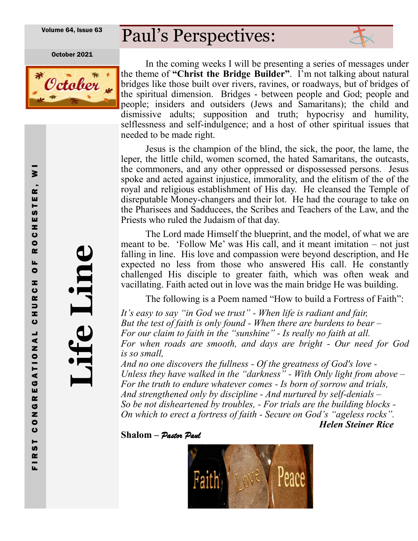Volume 64, Issue 63

# Paul's Perspectives:

October 2021



In the coming weeks I will be presenting a series of messages under the theme of **"Christ the Bridge Builder"**. I'm not talking about natural bridges like those built over rivers, ravines, or roadways, but of bridges of the spiritual dimension. Bridges - between people and God; people and people; insiders and outsiders (Jews and Samaritans); the child and dismissive adults; supposition and truth; hypocrisy and humility, selflessness and self-indulgence; and a host of other spiritual issues that needed to be made right.

Jesus is the champion of the blind, the sick, the poor, the lame, the leper, the little child, women scorned, the hated Samaritans, the outcasts, the commoners, and any other oppressed or dispossessed persons. Jesus spoke and acted against injustice, immorality, and the elitism of the of the royal and religious establishment of His day. He cleansed the Temple of disreputable Money-changers and their lot. He had the courage to take on the Pharisees and Sadducees, the Scribes and Teachers of the Law, and the Priests who ruled the Judaism of that day.

The Lord made Himself the blueprint, and the model, of what we are meant to be. 'Follow Me' was His call, and it meant imitation – not just falling in line. His love and compassion were beyond description, and He expected no less from those who answered His call. He constantly challenged His disciple to greater faith, which was often weak and vacillating. Faith acted out in love was the main bridge He was building.

The following is a Poem named "How to build a Fortress of Faith":

*It's easy to say "in God we trust" - When life is radiant and fair, But the test of faith is only found - When there are burdens to bear – For our claim to faith in the "sunshine" - Is really no faith at all. For when roads are smooth, and days are bright - Our need for God is so small,*

*And no one discovers the fullness - Of the greatness of God's love - Unless they have walked in the "darkness" - With Only light from above – For the truth to endure whatever comes - Is born of sorrow and trials, And strengthened only by discipline - And nurtured by self-denials – So be not disheartened by troubles, - For trials are the building blocks - On which to erect a fortress of faith - Secure on God's "ageless rocks". Helen Steiner Rice*

**Shalom –** *Pastor Paul*



**Life Line**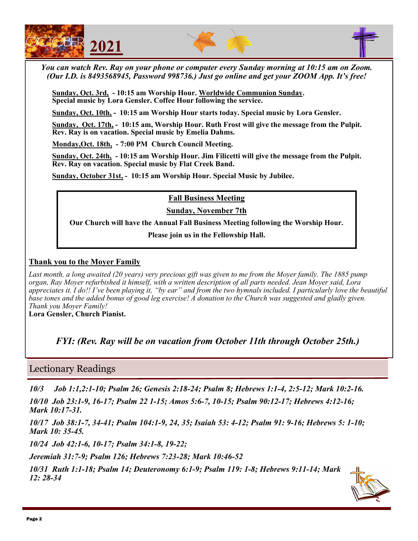





*You can watch Rev. Ray on your phone or computer every Sunday morning at 10:15 am on Zoom. (Our I.D. is 8493568945, Password 998736.) Just go online and get your ZOOM App. It's free!*

**Sunday, Oct. 3rd, - 10:15 am Worship Hour. Worldwide Communion Sunday. Special music by Lora Gensler. Coffee Hour following the service.**

**Sunday, Oct. 10th, - 10:15 am Worship Hour starts today. Special music by Lora Gensler.** 

**Sunday, Oct. 17th, - 10:15 am, Worship Hour. Ruth Frost will give the message from the Pulpit. Rev. Ray is on vacation. Special music by Emelia Dahms.**

**Monday,Oct. 18th, - 7:00 PM Church Council Meeting.** 

**Sunday, Oct. 24th, - 10:15 am Worship Hour. Jim Filicetti will give the message from the Pulpit. Rev. Ray on vacation. Special music by Flat Creek Band.**

**Sunday, October 31st, - 10:15 am Worship Hour. Special Music by Jubilee.** 

**Fall Business Meeting** 

**Sunday, November 7th** 

**Our Church will have the Annual Fall Business Meeting following the Worship Hour.** 

**Please join us in the Fellowship Hall.** 

### **Thank you to the Moyer Family**

Last month, a long awaited (20 years) very precious gift was given to me from the Moyer family. The 1885 pump *organ, Ray Moyer refurbished it himself, with a written description of all parts needed. Jean Moyer said, Lora appreciates it. I do!! I've been playing it, "by ear" and from the two hymnals included. I particularly love the beautiful*  base tones and the added bonus of good leg exercise! A donation to the Church was suggested and gladly given. *Thank you Moyer Family!* 

**Lora Gensler, Church Pianist.**

*FYI: (Rev. Ray will be on vacation from October 11th through October 25th.)* 

## Lectionary Readings

*10/3 Job 1:1,2:1-10; Psalm 26; Genesis 2:18-24; Psalm 8; Hebrews 1:1-4, 2:5-12; Mark 10:2-16.*

*10/10 Job 23:1-9, 16-17; Psalm 22 1-15; Amos 5:6-7, 10-15; Psalm 90:12-17; Hebrews 4:12-16; Mark 10:17-31.*

*10/17 Job 38:1-7, 34-41; Psalm 104:1-9, 24, 35; Isaiah 53: 4-12; Psalm 91: 9-16; Hebrews 5: 1-10; Mark 10: 35-45.*

*10/24 Job 42:1-6, 10-17; Psalm 34:1-8, 19-22;*

*Jeremiah 31:7-9; Psalm 126; Hebrews 7:23-28; Mark 10:46-52*

*10/31 Ruth 1:1-18; Psalm 14; Deuteronomy 6:1-9; Psalm 119: 1-8; Hebrews 9:11-14; Mark 12: 28-34*

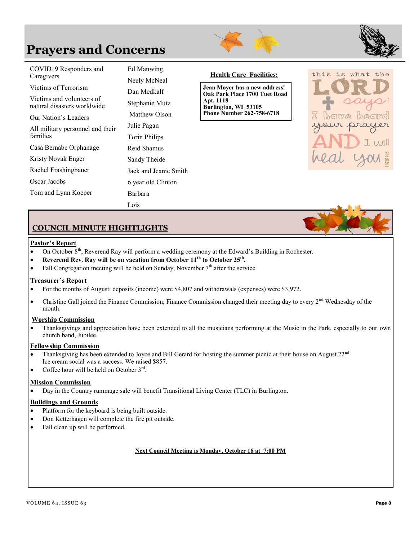# **Prayers and Concerns**





| COVID19 Responders and<br>Caregivers                     | Ed Manwing<br>Neely McNeal | <b>Health Care Facilities:</b>                                 |  |  |
|----------------------------------------------------------|----------------------------|----------------------------------------------------------------|--|--|
| Victims of Terrorism                                     | Dan Medkalf                | Jean Moyer has a new address!<br>Oak Park Place 1700 Tuet Road |  |  |
| Victims and volunteers of<br>natural disasters worldwide | Stephanie Mutz             | Apt. 1118<br>Burlington, WI 53105                              |  |  |
| Our Nation's Leaders                                     | Matthew Olson              | <b>Phone Number 262-758-6718</b>                               |  |  |
| All military personnel and their<br>families             | Julie Pagan                |                                                                |  |  |
|                                                          | Torin Philips              |                                                                |  |  |
| Casa Bernabe Orphanage                                   | Reid Shamus                |                                                                |  |  |
| Kristy Novak Enger                                       | Sandy Theide               |                                                                |  |  |
| Rachel Frashingbauer                                     | Jack and Jeanie Smith      |                                                                |  |  |
| Oscar Jacobs                                             | 6 year old Clinton         |                                                                |  |  |
| Tom and Lynn Koeper                                      | Barbara                    |                                                                |  |  |
|                                                          | Lois                       |                                                                |  |  |



### **COUNCIL MINUTE HIGHTLIGHTS**

#### **Pastor's Report**

- On October  $8<sup>th</sup>$ , Reverend Ray will perform a wedding ceremony at the Edward's Building in Rochester.
- **Reverend Rev. Ray will be on vacation from October 11th to October 25th .**
- Fall Congregation meeting will be held on Sunday, November  $7<sup>th</sup>$  after the service.

#### **Treasurer's Report**

- For the months of August: deposits (income) were \$4,807 and withdrawals (expenses) were \$3,972.
- Christine Gall joined the Finance Commission; Finance Commission changed their meeting day to every  $2<sup>nd</sup>$  Wednesday of the month.

#### **Worship Commission**

• Thanksgivings and appreciation have been extended to all the musicians performing at the Music in the Park, especially to our own church band, Jubilee.

#### **Fellowship Commission**

- Thanksgiving has been extended to Joyce and Bill Gerard for hosting the summer picnic at their house on August  $22<sup>nd</sup>$ . Ice cream social was a success. We raised \$857.
- Coffee hour will be held on October  $3^{rd}$ .

### **Mission Commission**

• Day in the Country rummage sale will benefit Transitional Living Center (TLC) in Burlington.

#### **Buildings and Grounds**

- Platform for the keyboard is being built outside.
- Don Ketterhagen will complete the fire pit outside.
- Fall clean up will be performed.

#### **Next Council Meeting is Monday, October 18 at 7:00 PM**